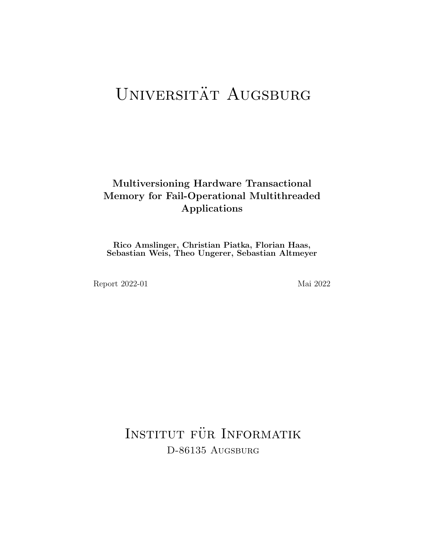# UNIVERSITÄT AUGSBURG

# Multiversioning Hardware Transactional Memory for Fail-Operational Multithreaded Applications

Rico Amslinger, Christian Piatka, Florian Haas, Sebastian Weis, Theo Ungerer, Sebastian Altmeyer

Report 2022-01 Mai 2022

INSTITUT FÜR INFORMATIK D-86135 AUGSBURG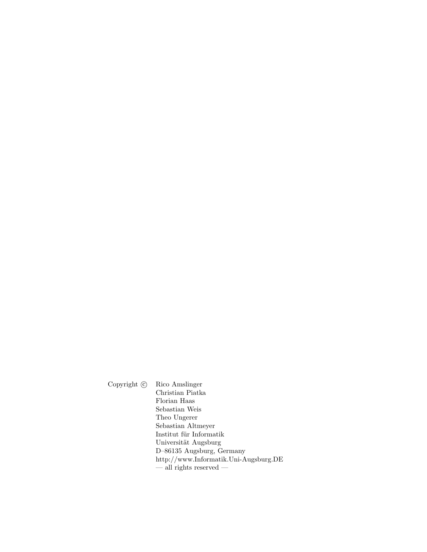Copyright  $\odot$  Rico Amslinger Christian Piatka Florian Haas Sebastian Weis Theo Ungerer Sebastian Altmeyer Institut für Informatik Universität Augsburg D–86135 Augsburg, Germany http://www.Informatik.Uni-Augsburg.DE  $-$ all rights reserved  $-$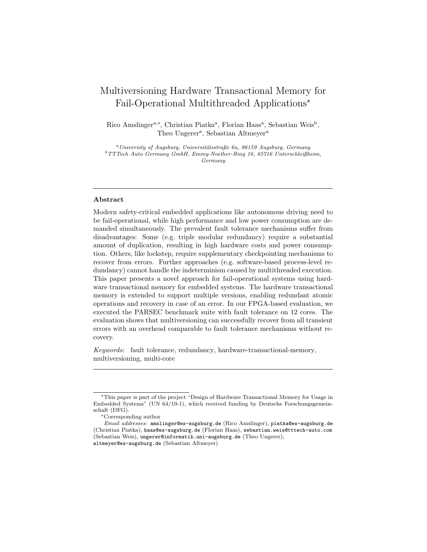# Multiversioning Hardware Transactional Memory for Fail-Operational Multithreaded Applications<sup>\*</sup>

Rico Amslinger<sup>a,\*</sup>, Christian Piatka<sup>a</sup>, Florian Haas<sup>a</sup>, Sebastian Weis<sup>b</sup>, Theo Ungerer<sup>a</sup>, Sebastian Altmeyer<sup>a</sup>

<sup>a</sup>University of Augsburg, Universitätsstraße 6a, 86159 Augsburg, Germany  $^{b}$ TTTech Auto Germany GmbH, Emmy-Noether-Ring 16, 85716 Unterschleißheim, Germany

# Abstract

Modern safety-critical embedded applications like autonomous driving need to be fail-operational, while high performance and low power consumption are demanded simultaneously. The prevalent fault tolerance mechanisms suffer from disadvantages: Some (e.g. triple modular redundancy) require a substantial amount of duplication, resulting in high hardware costs and power consumption. Others, like lockstep, require supplementary checkpointing mechanisms to recover from errors. Further approaches (e.g. software-based process-level redundancy) cannot handle the indeterminism caused by multithreaded execution. This paper presents a novel approach for fail-operational systems using hardware transactional memory for embedded systems. The hardware transactional memory is extended to support multiple versions, enabling redundant atomic operations and recovery in case of an error. In our FPGA-based evaluation, we executed the PARSEC benchmark suite with fault tolerance on 12 cores. The evaluation shows that multiversioning can successfully recover from all transient errors with an overhead comparable to fault tolerance mechanisms without recovery.

Keywords: fault tolerance, redundancy, hardware-transactional-memory, multiversioning, multi-core

<sup>?</sup>This paper is part of the project "Design of Hardware Transactional Memory for Usage in Embedded Systems" (UN 64/19-1), which received funding by Deutsche Forschungsgemeinschaft (DFG).

<sup>∗</sup>Corresponding author

Email addresses: amslinger@es-augsburg.de (Rico Amslinger), piatka@es-augsburg.de (Christian Piatka), haas@es-augsburg.de (Florian Haas), sebastian.weis@tttech-auto.com (Sebastian Weis), ungerer@informatik.uni-augsburg.de (Theo Ungerer), altmeyer@es-augsburg.de (Sebastian Altmeyer)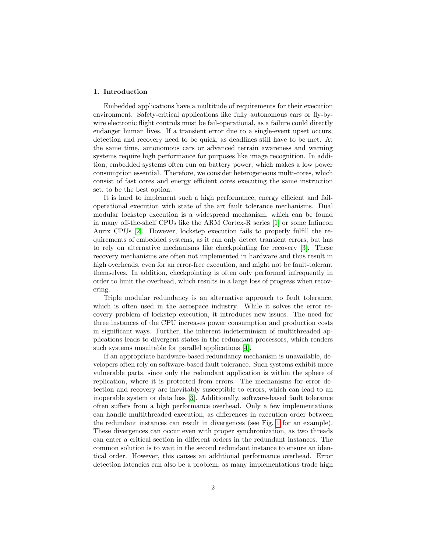# 1. Introduction

Embedded applications have a multitude of requirements for their execution environment. Safety-critical applications like fully autonomous cars or fly-bywire electronic flight controls must be fail-operational, as a failure could directly endanger human lives. If a transient error due to a single-event upset occurs, detection and recovery need to be quick, as deadlines still have to be met. At the same time, autonomous cars or advanced terrain awareness and warning systems require high performance for purposes like image recognition. In addition, embedded systems often run on battery power, which makes a low power consumption essential. Therefore, we consider heterogeneous multi-cores, which consist of fast cores and energy efficient cores executing the same instruction set, to be the best option.

It is hard to implement such a high performance, energy efficient and failoperational execution with state of the art fault tolerance mechanisms. Dual modular lockstep execution is a widespread mechanism, which can be found in many off-the-shelf CPUs like the ARM Cortex-R series [\[1\]](#page-27-0) or some Infineon Aurix CPUs [\[2\]](#page-27-1). However, lockstep execution fails to properly fulfill the requirements of embedded systems, as it can only detect transient errors, but has to rely on alternative mechanisms like checkpointing for recovery [\[3\]](#page-27-2). These recovery mechanisms are often not implemented in hardware and thus result in high overheads, even for an error-free execution, and might not be fault-tolerant themselves. In addition, checkpointing is often only performed infrequently in order to limit the overhead, which results in a large loss of progress when recovering.

Triple modular redundancy is an alternative approach to fault tolerance, which is often used in the aerospace industry. While it solves the error recovery problem of lockstep execution, it introduces new issues. The need for three instances of the CPU increases power consumption and production costs in significant ways. Further, the inherent indeterminism of multithreaded applications leads to divergent states in the redundant processors, which renders such systems unsuitable for parallel applications [\[4\]](#page-27-3).

If an appropriate hardware-based redundancy mechanism is unavailable, developers often rely on software-based fault tolerance. Such systems exhibit more vulnerable parts, since only the redundant application is within the sphere of replication, where it is protected from errors. The mechanisms for error detection and recovery are inevitably susceptible to errors, which can lead to an inoperable system or data loss [\[3\]](#page-27-2). Additionally, software-based fault tolerance often suffers from a high performance overhead. Only a few implementations can handle multithreaded execution, as differences in execution order between the redundant instances can result in divergences (see Fig. [1](#page-4-0) for an example). These divergences can occur even with proper synchronization, as two threads can enter a critical section in different orders in the redundant instances. The common solution is to wait in the second redundant instance to ensure an identical order. However, this causes an additional performance overhead. Error detection latencies can also be a problem, as many implementations trade high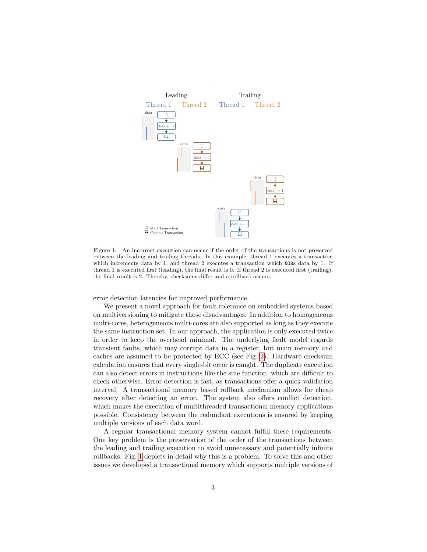

<span id="page-4-0"></span>Figure 1: An incorrect execution can occur if the order of the transactions is not preserved between the leading and trailing threads. In this example, thread 1 executes a transaction which increments data by 1, and thread 2 executes a transaction which XORs data by 1. If thread 1 is executed first (leading), the final result is 0. If thread 2 is executed first (trailing), the final result is 2. Thereby, checksums differ and a rollback occurs.

error detection latencies for improved performance.

We present a novel approach for fault tolerance on embedded systems based on multiversioning to mitigate those disadvantages. In addition to homogeneous multi-cores, heterogeneous multi-cores are also supported as long as they execute the same instruction set. In our approach, the application is only executed twice in order to keep the overhead minimal. The underlying fault model regards transient faults, which may corrupt data in a register, but main memory and caches are assumed to be protected by ECC (see Fig. [2\)](#page-5-0). Hardware checksum calculation ensures that every single-bit error is caught. The duplicate execution can also detect errors in instructions like the sine function, which are difficult to check otherwise. Error detection is fast, as transactions offer a quick validation interval. A transactional memory based rollback mechanism allows for cheap recovery after detecting an error. The system also offers conflict detection, which makes the execution of multithreaded transactional memory applications possible. Consistency between the redundant executions is ensured by keeping multiple versions of each data word.

A regular transactional memory system cannot fulfill these requirements. One key problem is the preservation of the order of the transactions between the leading and trailing execution to avoid unnecessary and potentially infinite rollbacks. Fig. [1](#page-4-0) depicts in detail why this is a problem. To solve this and other issues we developed a transactional memory which supports multiple versions of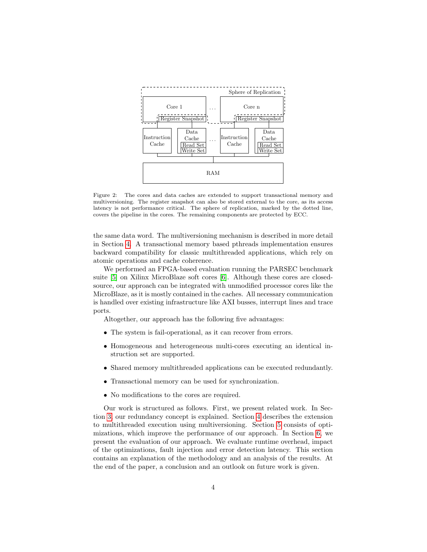

<span id="page-5-0"></span>Figure 2: The cores and data caches are extended to support transactional memory and multiversioning. The register snapshot can also be stored external to the core, as its access latency is not performance critical. The sphere of replication, marked by the dotted line, covers the pipeline in the cores. The remaining components are protected by ECC.

the same data word. The multiversioning mechanism is described in more detail in Section [4.](#page-9-0) A transactional memory based pthreads implementation ensures backward compatibility for classic multithreaded applications, which rely on atomic operations and cache coherence.

We performed an FPGA-based evaluation running the PARSEC benchmark suite [\[5\]](#page-27-4) on Xilinx MicroBlaze soft cores [\[6\]](#page-28-0). Although these cores are closedsource, our approach can be integrated with unmodified processor cores like the MicroBlaze, as it is mostly contained in the caches. All necessary communication is handled over existing infrastructure like AXI busses, interrupt lines and trace ports.

Altogether, our approach has the following five advantages:

- The system is fail-operational, as it can recover from errors.
- Homogeneous and heterogeneous multi-cores executing an identical instruction set are supported.
- Shared memory multithreaded applications can be executed redundantly.
- Transactional memory can be used for synchronization.
- No modifications to the cores are required.

Our work is structured as follows. First, we present related work. In Section [3,](#page-7-0) our redundancy concept is explained. Section [4](#page-9-0) describes the extension to multithreaded execution using multiversioning. Section [5](#page-12-0) consists of optimizations, which improve the performance of our approach. In Section [6,](#page-16-0) we present the evaluation of our approach. We evaluate runtime overhead, impact of the optimizations, fault injection and error detection latency. This section contains an explanation of the methodology and an analysis of the results. At the end of the paper, a conclusion and an outlook on future work is given.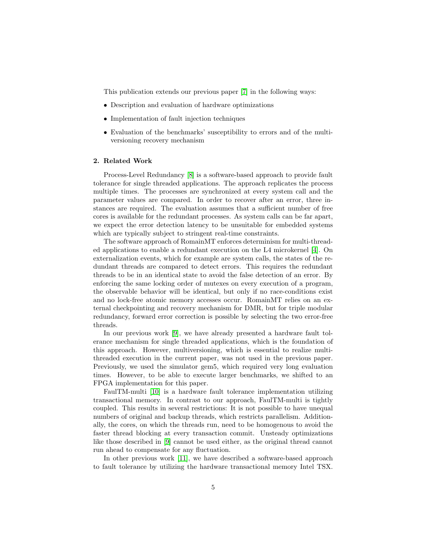This publication extends our previous paper [\[7\]](#page-28-1) in the following ways:

- Description and evaluation of hardware optimizations
- Implementation of fault injection techniques
- Evaluation of the benchmarks' susceptibility to errors and of the multiversioning recovery mechanism

# 2. Related Work

Process-Level Redundancy [\[8\]](#page-28-2) is a software-based approach to provide fault tolerance for single threaded applications. The approach replicates the process multiple times. The processes are synchronized at every system call and the parameter values are compared. In order to recover after an error, three instances are required. The evaluation assumes that a sufficient number of free cores is available for the redundant processes. As system calls can be far apart, we expect the error detection latency to be unsuitable for embedded systems which are typically subject to stringent real-time constraints.

The software approach of RomainMT enforces determinism for multi-threaded applications to enable a redundant execution on the L4 microkernel [\[4\]](#page-27-3). On externalization events, which for example are system calls, the states of the redundant threads are compared to detect errors. This requires the redundant threads to be in an identical state to avoid the false detection of an error. By enforcing the same locking order of mutexes on every execution of a program, the observable behavior will be identical, but only if no race-conditions exist and no lock-free atomic memory accesses occur. RomainMT relies on an external checkpointing and recovery mechanism for DMR, but for triple modular redundancy, forward error correction is possible by selecting the two error-free threads.

In our previous work [\[9\]](#page-28-3), we have already presented a hardware fault tolerance mechanism for single threaded applications, which is the foundation of this approach. However, multiversioning, which is essential to realize multithreaded execution in the current paper, was not used in the previous paper. Previously, we used the simulator gem5, which required very long evaluation times. However, to be able to execute larger benchmarks, we shifted to an FPGA implementation for this paper.

FaulTM-multi [\[10\]](#page-28-4) is a hardware fault tolerance implementation utilizing transactional memory. In contrast to our approach, FaulTM-multi is tightly coupled. This results in several restrictions: It is not possible to have unequal numbers of original and backup threads, which restricts parallelism. Additionally, the cores, on which the threads run, need to be homogenous to avoid the faster thread blocking at every transaction commit. Unsteady optimizations like those described in [\[9\]](#page-28-3) cannot be used either, as the original thread cannot run ahead to compensate for any fluctuation.

In other previous work [\[11\]](#page-28-5), we have described a software-based approach to fault tolerance by utilizing the hardware transactional memory Intel TSX.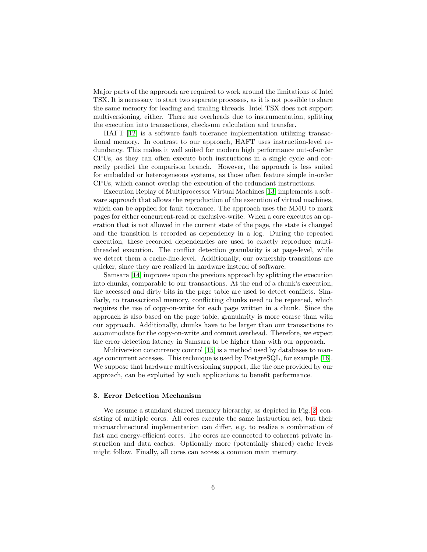Major parts of the approach are required to work around the limitations of Intel TSX. It is necessary to start two separate processes, as it is not possible to share the same memory for leading and trailing threads. Intel TSX does not support multiversioning, either. There are overheads due to instrumentation, splitting the execution into transactions, checksum calculation and transfer.

HAFT [\[12\]](#page-28-6) is a software fault tolerance implementation utilizing transactional memory. In contrast to our approach, HAFT uses instruction-level redundancy. This makes it well suited for modern high performance out-of-order CPUs, as they can often execute both instructions in a single cycle and correctly predict the comparison branch. However, the approach is less suited for embedded or heterogeneous systems, as those often feature simple in-order CPUs, which cannot overlap the execution of the redundant instructions.

Execution Replay of Multiprocessor Virtual Machines [\[13\]](#page-28-7) implements a software approach that allows the reproduction of the execution of virtual machines, which can be applied for fault tolerance. The approach uses the MMU to mark pages for either concurrent-read or exclusive-write. When a core executes an operation that is not allowed in the current state of the page, the state is changed and the transition is recorded as dependency in a log. During the repeated execution, these recorded dependencies are used to exactly reproduce multithreaded execution. The conflict detection granularity is at page-level, while we detect them a cache-line-level. Additionally, our ownership transitions are quicker, since they are realized in hardware instead of software.

Samsara [\[14\]](#page-28-8) improves upon the previous approach by splitting the execution into chunks, comparable to our transactions. At the end of a chunk's execution, the accessed and dirty bits in the page table are used to detect conflicts. Similarly, to transactional memory, conflicting chunks need to be repeated, which requires the use of copy-on-write for each page written in a chunk. Since the approach is also based on the page table, granularity is more coarse than with our approach. Additionally, chunks have to be larger than our transactions to accommodate for the copy-on-write and commit overhead. Therefore, we expect the error detection latency in Samsara to be higher than with our approach.

Multiversion concurrency control [\[15\]](#page-28-9) is a method used by databases to manage concurrent accesses. This technique is used by PostgreSQL, for example [\[16\]](#page-29-0). We suppose that hardware multiversioning support, like the one provided by our approach, can be exploited by such applications to benefit performance.

### <span id="page-7-0"></span>3. Error Detection Mechanism

We assume a standard shared memory hierarchy, as depicted in Fig. [2,](#page-5-0) consisting of multiple cores. All cores execute the same instruction set, but their microarchitectural implementation can differ, e.g. to realize a combination of fast and energy-efficient cores. The cores are connected to coherent private instruction and data caches. Optionally more (potentially shared) cache levels might follow. Finally, all cores can access a common main memory.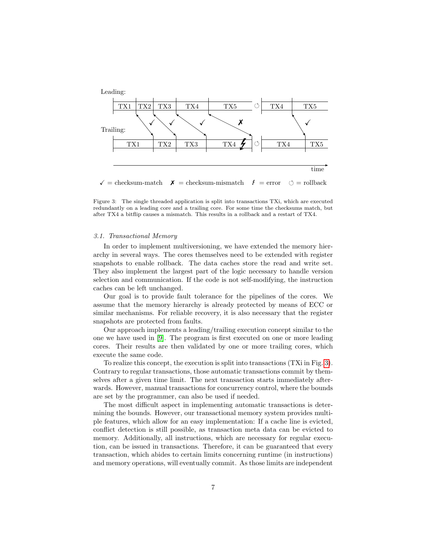

<span id="page-8-0"></span>Figure 3: The single threaded application is split into transactions TXi, which are executed redundantly on a leading core and a trailing core. For some time the checksums match, but after TX4 a bitflip causes a mismatch. This results in a rollback and a restart of TX4.

#### 3.1. Transactional Memory

In order to implement multiversioning, we have extended the memory hierarchy in several ways. The cores themselves need to be extended with register snapshots to enable rollback. The data caches store the read and write set. They also implement the largest part of the logic necessary to handle version selection and communication. If the code is not self-modifying, the instruction caches can be left unchanged.

Our goal is to provide fault tolerance for the pipelines of the cores. We assume that the memory hierarchy is already protected by means of ECC or similar mechanisms. For reliable recovery, it is also necessary that the register snapshots are protected from faults.

Our approach implements a leading/trailing execution concept similar to the one we have used in [\[9\]](#page-28-3). The program is first executed on one or more leading cores. Their results are then validated by one or more trailing cores, which execute the same code.

To realize this concept, the execution is split into transactions (TXi in Fig. [3\)](#page-8-0). Contrary to regular transactions, those automatic transactions commit by themselves after a given time limit. The next transaction starts immediately afterwards. However, manual transactions for concurrency control, where the bounds are set by the programmer, can also be used if needed.

The most difficult aspect in implementing automatic transactions is determining the bounds. However, our transactional memory system provides multiple features, which allow for an easy implementation: If a cache line is evicted, conflict detection is still possible, as transaction meta data can be evicted to memory. Additionally, all instructions, which are necessary for regular execution, can be issued in transactions. Therefore, it can be guaranteed that every transaction, which abides to certain limits concerning runtime (in instructions) and memory operations, will eventually commit. As those limits are independent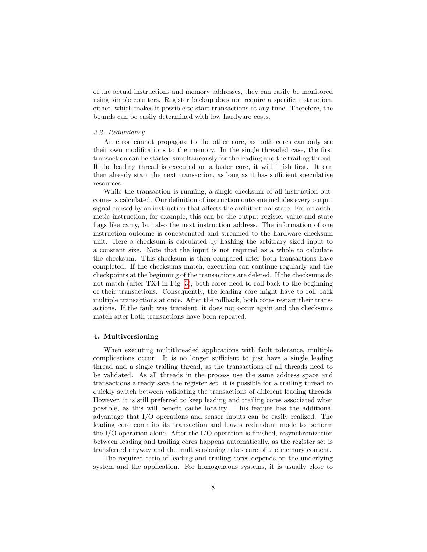of the actual instructions and memory addresses, they can easily be monitored using simple counters. Register backup does not require a specific instruction, either, which makes it possible to start transactions at any time. Therefore, the bounds can be easily determined with low hardware costs.

#### 3.2. Redundancy

An error cannot propagate to the other core, as both cores can only see their own modifications to the memory. In the single threaded case, the first transaction can be started simultaneously for the leading and the trailing thread. If the leading thread is executed on a faster core, it will finish first. It can then already start the next transaction, as long as it has sufficient speculative resources.

While the transaction is running, a single checksum of all instruction outcomes is calculated. Our definition of instruction outcome includes every output signal caused by an instruction that affects the architectural state. For an arithmetic instruction, for example, this can be the output register value and state flags like carry, but also the next instruction address. The information of one instruction outcome is concatenated and streamed to the hardware checksum unit. Here a checksum is calculated by hashing the arbitrary sized input to a constant size. Note that the input is not required as a whole to calculate the checksum. This checksum is then compared after both transactions have completed. If the checksums match, execution can continue regularly and the checkpoints at the beginning of the transactions are deleted. If the checksums do not match (after TX4 in Fig. [3\)](#page-8-0), both cores need to roll back to the beginning of their transactions. Consequently, the leading core might have to roll back multiple transactions at once. After the rollback, both cores restart their transactions. If the fault was transient, it does not occur again and the checksums match after both transactions have been repeated.

## <span id="page-9-0"></span>4. Multiversioning

When executing multithreaded applications with fault tolerance, multiple complications occur. It is no longer sufficient to just have a single leading thread and a single trailing thread, as the transactions of all threads need to be validated. As all threads in the process use the same address space and transactions already save the register set, it is possible for a trailing thread to quickly switch between validating the transactions of different leading threads. However, it is still preferred to keep leading and trailing cores associated when possible, as this will benefit cache locality. This feature has the additional advantage that I/O operations and sensor inputs can be easily realized. The leading core commits its transaction and leaves redundant mode to perform the I/O operation alone. After the I/O operation is finished, resynchronization between leading and trailing cores happens automatically, as the register set is transferred anyway and the multiversioning takes care of the memory content.

The required ratio of leading and trailing cores depends on the underlying system and the application. For homogeneous systems, it is usually close to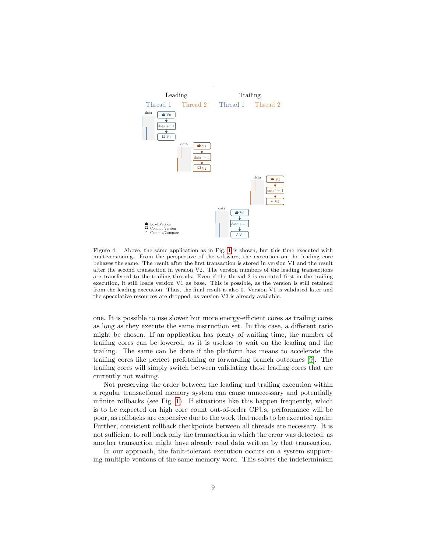

<span id="page-10-0"></span>Figure 4: Above, the same application as in Fig. [1](#page-4-0) is shown, but this time executed with multiversioning. From the perspective of the software, the execution on the leading core behaves the same. The result after the first transaction is stored in version V1 and the result after the second transaction in version V2. The version numbers of the leading transactions are transferred to the trailing threads. Even if the thread 2 is executed first in the trailing execution, it still loads version V1 as base. This is possible, as the version is still retained from the leading execution. Thus, the final result is also 0. Version V1 is validated later and the speculative resources are dropped, as version V2 is already available.

one. It is possible to use slower but more energy-efficient cores as trailing cores as long as they execute the same instruction set. In this case, a different ratio might be chosen. If an application has plenty of waiting time, the number of trailing cores can be lowered, as it is useless to wait on the leading and the trailing. The same can be done if the platform has means to accelerate the trailing cores like perfect prefetching or forwarding branch outcomes [\[9\]](#page-28-3). The trailing cores will simply switch between validating those leading cores that are currently not waiting.

Not preserving the order between the leading and trailing execution within a regular transactional memory system can cause unnecessary and potentially infinite rollbacks (see Fig. [1\)](#page-4-0). If situations like this happen frequently, which is to be expected on high core count out-of-order CPUs, performance will be poor, as rollbacks are expensive due to the work that needs to be executed again. Further, consistent rollback checkpoints between all threads are necessary. It is not sufficient to roll back only the transaction in which the error was detected, as another transaction might have already read data written by that transaction.

In our approach, the fault-tolerant execution occurs on a system supporting multiple versions of the same memory word. This solves the indeterminism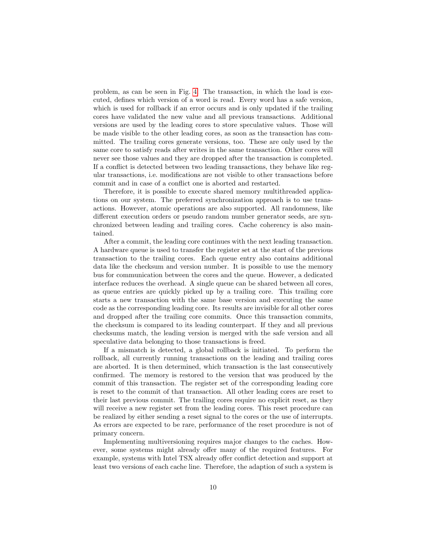problem, as can be seen in Fig. [4.](#page-10-0) The transaction, in which the load is executed, defines which version of a word is read. Every word has a safe version, which is used for rollback if an error occurs and is only updated if the trailing cores have validated the new value and all previous transactions. Additional versions are used by the leading cores to store speculative values. Those will be made visible to the other leading cores, as soon as the transaction has committed. The trailing cores generate versions, too. These are only used by the same core to satisfy reads after writes in the same transaction. Other cores will never see those values and they are dropped after the transaction is completed. If a conflict is detected between two leading transactions, they behave like regular transactions, i.e. modifications are not visible to other transactions before commit and in case of a conflict one is aborted and restarted.

Therefore, it is possible to execute shared memory multithreaded applications on our system. The preferred synchronization approach is to use transactions. However, atomic operations are also supported. All randomness, like different execution orders or pseudo random number generator seeds, are synchronized between leading and trailing cores. Cache coherency is also maintained.

After a commit, the leading core continues with the next leading transaction. A hardware queue is used to transfer the register set at the start of the previous transaction to the trailing cores. Each queue entry also contains additional data like the checksum and version number. It is possible to use the memory bus for communication between the cores and the queue. However, a dedicated interface reduces the overhead. A single queue can be shared between all cores, as queue entries are quickly picked up by a trailing core. This trailing core starts a new transaction with the same base version and executing the same code as the corresponding leading core. Its results are invisible for all other cores and dropped after the trailing core commits. Once this transaction commits, the checksum is compared to its leading counterpart. If they and all previous checksums match, the leading version is merged with the safe version and all speculative data belonging to those transactions is freed.

If a mismatch is detected, a global rollback is initiated. To perform the rollback, all currently running transactions on the leading and trailing cores are aborted. It is then determined, which transaction is the last consecutively confirmed. The memory is restored to the version that was produced by the commit of this transaction. The register set of the corresponding leading core is reset to the commit of that transaction. All other leading cores are reset to their last previous commit. The trailing cores require no explicit reset, as they will receive a new register set from the leading cores. This reset procedure can be realized by either sending a reset signal to the cores or the use of interrupts. As errors are expected to be rare, performance of the reset procedure is not of primary concern.

Implementing multiversioning requires major changes to the caches. However, some systems might already offer many of the required features. For example, systems with Intel TSX already offer conflict detection and support at least two versions of each cache line. Therefore, the adaption of such a system is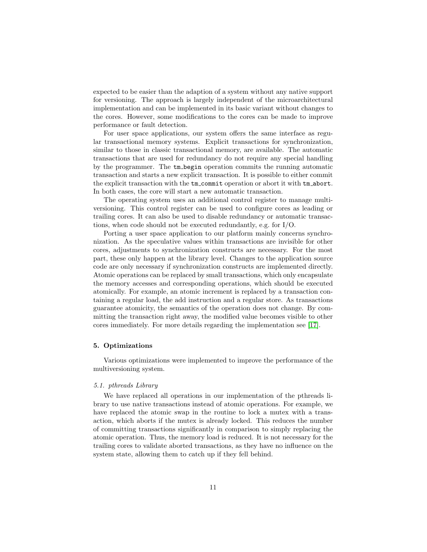expected to be easier than the adaption of a system without any native support for versioning. The approach is largely independent of the microarchitectural implementation and can be implemented in its basic variant without changes to the cores. However, some modifications to the cores can be made to improve performance or fault detection.

For user space applications, our system offers the same interface as regular transactional memory systems. Explicit transactions for synchronization, similar to those in classic transactional memory, are available. The automatic transactions that are used for redundancy do not require any special handling by the programmer. The tm begin operation commits the running automatic transaction and starts a new explicit transaction. It is possible to either commit the explicit transaction with the tm commit operation or abort it with tm abort. In both cases, the core will start a new automatic transaction.

The operating system uses an additional control register to manage multiversioning. This control register can be used to configure cores as leading or trailing cores. It can also be used to disable redundancy or automatic transactions, when code should not be executed redundantly, e.g. for I/O.

Porting a user space application to our platform mainly concerns synchronization. As the speculative values within transactions are invisible for other cores, adjustments to synchronization constructs are necessary. For the most part, these only happen at the library level. Changes to the application source code are only necessary if synchronization constructs are implemented directly. Atomic operations can be replaced by small transactions, which only encapsulate the memory accesses and corresponding operations, which should be executed atomically. For example, an atomic increment is replaced by a transaction containing a regular load, the add instruction and a regular store. As transactions guarantee atomicity, the semantics of the operation does not change. By committing the transaction right away, the modified value becomes visible to other cores immediately. For more details regarding the implementation see [\[17\]](#page-29-1).

## <span id="page-12-0"></span>5. Optimizations

Various optimizations were implemented to improve the performance of the multiversioning system.

#### 5.1. pthreads Library

We have replaced all operations in our implementation of the pthreads library to use native transactions instead of atomic operations. For example, we have replaced the atomic swap in the routine to lock a mutex with a transaction, which aborts if the mutex is already locked. This reduces the number of committing transactions significantly in comparison to simply replacing the atomic operation. Thus, the memory load is reduced. It is not necessary for the trailing cores to validate aborted transactions, as they have no influence on the system state, allowing them to catch up if they fell behind.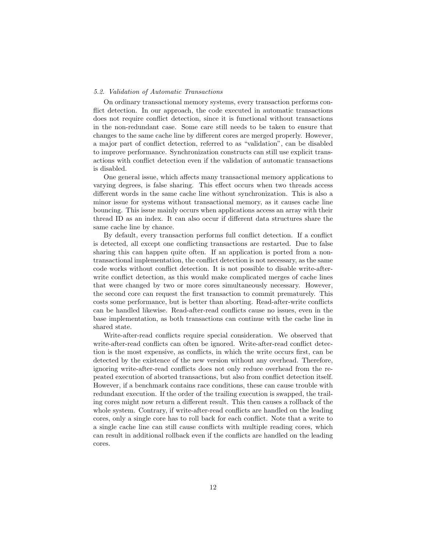#### 5.2. Validation of Automatic Transactions

On ordinary transactional memory systems, every transaction performs conflict detection. In our approach, the code executed in automatic transactions does not require conflict detection, since it is functional without transactions in the non-redundant case. Some care still needs to be taken to ensure that changes to the same cache line by different cores are merged properly. However, a major part of conflict detection, referred to as "validation", can be disabled to improve performance. Synchronization constructs can still use explicit transactions with conflict detection even if the validation of automatic transactions is disabled.

One general issue, which affects many transactional memory applications to varying degrees, is false sharing. This effect occurs when two threads access different words in the same cache line without synchronization. This is also a minor issue for systems without transactional memory, as it causes cache line bouncing. This issue mainly occurs when applications access an array with their thread ID as an index. It can also occur if different data structures share the same cache line by chance.

By default, every transaction performs full conflict detection. If a conflict is detected, all except one conflicting transactions are restarted. Due to false sharing this can happen quite often. If an application is ported from a nontransactional implementation, the conflict detection is not necessary, as the same code works without conflict detection. It is not possible to disable write-afterwrite conflict detection, as this would make complicated merges of cache lines that were changed by two or more cores simultaneously necessary. However, the second core can request the first transaction to commit prematurely. This costs some performance, but is better than aborting. Read-after-write conflicts can be handled likewise. Read-after-read conflicts cause no issues, even in the base implementation, as both transactions can continue with the cache line in shared state.

Write-after-read conflicts require special consideration. We observed that write-after-read conflicts can often be ignored. Write-after-read conflict detection is the most expensive, as conflicts, in which the write occurs first, can be detected by the existence of the new version without any overhead. Therefore, ignoring write-after-read conflicts does not only reduce overhead from the repeated execution of aborted transactions, but also from conflict detection itself. However, if a benchmark contains race conditions, these can cause trouble with redundant execution. If the order of the trailing execution is swapped, the trailing cores might now return a different result. This then causes a rollback of the whole system. Contrary, if write-after-read conflicts are handled on the leading cores, only a single core has to roll back for each conflict. Note that a write to a single cache line can still cause conflicts with multiple reading cores, which can result in additional rollback even if the conflicts are handled on the leading cores.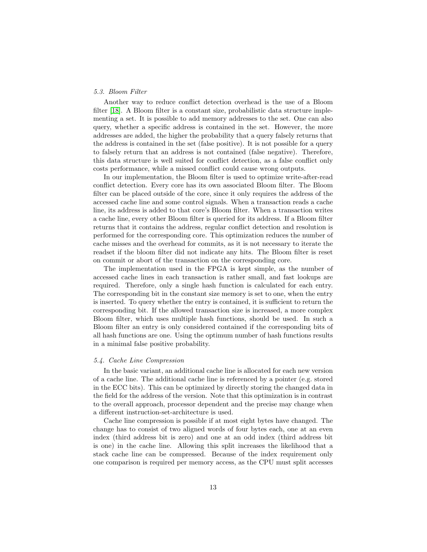# 5.3. Bloom Filter

Another way to reduce conflict detection overhead is the use of a Bloom filter [\[18\]](#page-29-2). A Bloom filter is a constant size, probabilistic data structure implementing a set. It is possible to add memory addresses to the set. One can also query, whether a specific address is contained in the set. However, the more addresses are added, the higher the probability that a query falsely returns that the address is contained in the set (false positive). It is not possible for a query to falsely return that an address is not contained (false negative). Therefore, this data structure is well suited for conflict detection, as a false conflict only costs performance, while a missed conflict could cause wrong outputs.

In our implementation, the Bloom filter is used to optimize write-after-read conflict detection. Every core has its own associated Bloom filter. The Bloom filter can be placed outside of the core, since it only requires the address of the accessed cache line and some control signals. When a transaction reads a cache line, its address is added to that core's Bloom filter. When a transaction writes a cache line, every other Bloom filter is queried for its address. If a Bloom filter returns that it contains the address, regular conflict detection and resolution is performed for the corresponding core. This optimization reduces the number of cache misses and the overhead for commits, as it is not necessary to iterate the readset if the bloom filter did not indicate any hits. The Bloom filter is reset on commit or abort of the transaction on the corresponding core.

The implementation used in the FPGA is kept simple, as the number of accessed cache lines in each transaction is rather small, and fast lookups are required. Therefore, only a single hash function is calculated for each entry. The corresponding bit in the constant size memory is set to one, when the entry is inserted. To query whether the entry is contained, it is sufficient to return the corresponding bit. If the allowed transaction size is increased, a more complex Bloom filter, which uses multiple hash functions, should be used. In such a Bloom filter an entry is only considered contained if the corresponding bits of all hash functions are one. Using the optimum number of hash functions results in a minimal false positive probability.

#### 5.4. Cache Line Compression

In the basic variant, an additional cache line is allocated for each new version of a cache line. The additional cache line is referenced by a pointer (e.g. stored in the ECC bits). This can be optimized by directly storing the changed data in the field for the address of the version. Note that this optimization is in contrast to the overall approach, processor dependent and the precise may change when a different instruction-set-architecture is used.

Cache line compression is possible if at most eight bytes have changed. The change has to consist of two aligned words of four bytes each, one at an even index (third address bit is zero) and one at an odd index (third address bit is one) in the cache line. Allowing this split increases the likelihood that a stack cache line can be compressed. Because of the index requirement only one comparison is required per memory access, as the CPU must split accesses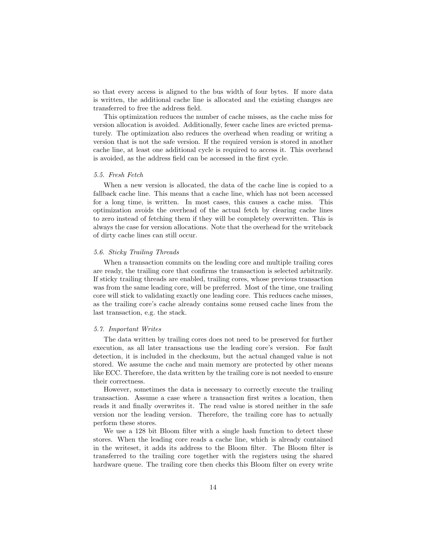so that every access is aligned to the bus width of four bytes. If more data is written, the additional cache line is allocated and the existing changes are transferred to free the address field.

This optimization reduces the number of cache misses, as the cache miss for version allocation is avoided. Additionally, fewer cache lines are evicted prematurely. The optimization also reduces the overhead when reading or writing a version that is not the safe version. If the required version is stored in another cache line, at least one additional cycle is required to access it. This overhead is avoided, as the address field can be accessed in the first cycle.

#### 5.5. Fresh Fetch

When a new version is allocated, the data of the cache line is copied to a fallback cache line. This means that a cache line, which has not been accessed for a long time, is written. In most cases, this causes a cache miss. This optimization avoids the overhead of the actual fetch by clearing cache lines to zero instead of fetching them if they will be completely overwritten. This is always the case for version allocations. Note that the overhead for the writeback of dirty cache lines can still occur.

# 5.6. Sticky Trailing Threads

When a transaction commits on the leading core and multiple trailing cores are ready, the trailing core that confirms the transaction is selected arbitrarily. If sticky trailing threads are enabled, trailing cores, whose previous transaction was from the same leading core, will be preferred. Most of the time, one trailing core will stick to validating exactly one leading core. This reduces cache misses, as the trailing core's cache already contains some reused cache lines from the last transaction, e.g. the stack.

#### 5.7. Important Writes

The data written by trailing cores does not need to be preserved for further execution, as all later transactions use the leading core's version. For fault detection, it is included in the checksum, but the actual changed value is not stored. We assume the cache and main memory are protected by other means like ECC. Therefore, the data written by the trailing core is not needed to ensure their correctness.

However, sometimes the data is necessary to correctly execute the trailing transaction. Assume a case where a transaction first writes a location, then reads it and finally overwrites it. The read value is stored neither in the safe version nor the leading version. Therefore, the trailing core has to actually perform these stores.

We use a 128 bit Bloom filter with a single hash function to detect these stores. When the leading core reads a cache line, which is already contained in the writeset, it adds its address to the Bloom filter. The Bloom filter is transferred to the trailing core together with the registers using the shared hardware queue. The trailing core then checks this Bloom filter on every write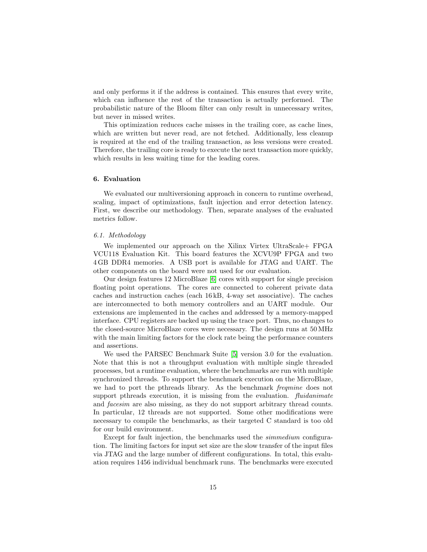and only performs it if the address is contained. This ensures that every write, which can influence the rest of the transaction is actually performed. The probabilistic nature of the Bloom filter can only result in unnecessary writes, but never in missed writes.

This optimization reduces cache misses in the trailing core, as cache lines, which are written but never read, are not fetched. Additionally, less cleanup is required at the end of the trailing transaction, as less versions were created. Therefore, the trailing core is ready to execute the next transaction more quickly, which results in less waiting time for the leading cores.

#### <span id="page-16-0"></span>6. Evaluation

We evaluated our multiversioning approach in concern to runtime overhead, scaling, impact of optimizations, fault injection and error detection latency. First, we describe our methodology. Then, separate analyses of the evaluated metrics follow.

# 6.1. Methodology

We implemented our approach on the Xilinx Virtex UltraScale+ FPGA VCU118 Evaluation Kit. This board features the XCVU9P FPGA and two 4 GB DDR4 memories. A USB port is available for JTAG and UART. The other components on the board were not used for our evaluation.

Our design features 12 MicroBlaze [\[6\]](#page-28-0) cores with support for single precision floating point operations. The cores are connected to coherent private data caches and instruction caches (each 16 kB, 4-way set associative). The caches are interconnected to both memory controllers and an UART module. Our extensions are implemented in the caches and addressed by a memory-mapped interface. CPU registers are backed up using the trace port. Thus, no changes to the closed-source MicroBlaze cores were necessary. The design runs at 50 MHz with the main limiting factors for the clock rate being the performance counters and assertions.

We used the PARSEC Benchmark Suite [\[5\]](#page-27-4) version 3.0 for the evaluation. Note that this is not a throughput evaluation with multiple single threaded processes, but a runtime evaluation, where the benchmarks are run with multiple synchronized threads. To support the benchmark execution on the MicroBlaze, we had to port the pthreads library. As the benchmark freqmine does not support pthreads execution, it is missing from the evaluation. *fluidanimate* and facesim are also missing, as they do not support arbitrary thread counts. In particular, 12 threads are not supported. Some other modifications were necessary to compile the benchmarks, as their targeted C standard is too old for our build environment.

Except for fault injection, the benchmarks used the simmedium configuration. The limiting factors for input set size are the slow transfer of the input files via JTAG and the large number of different configurations. In total, this evaluation requires 1456 individual benchmark runs. The benchmarks were executed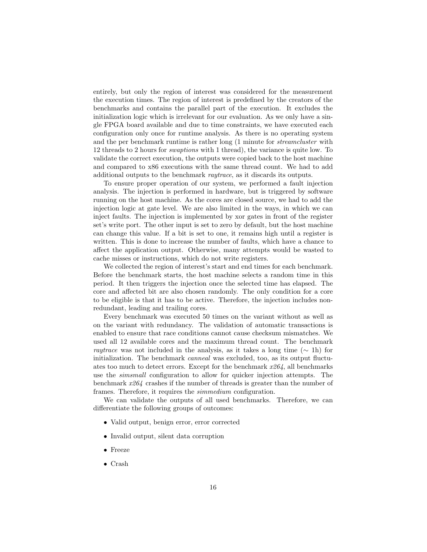entirely, but only the region of interest was considered for the measurement the execution times. The region of interest is predefined by the creators of the benchmarks and contains the parallel part of the execution. It excludes the initialization logic which is irrelevant for our evaluation. As we only have a single FPGA board available and due to time constraints, we have executed each configuration only once for runtime analysis. As there is no operating system and the per benchmark runtime is rather long (1 minute for streamcluster with 12 threads to 2 hours for swaptions with 1 thread), the variance is quite low. To validate the correct execution, the outputs were copied back to the host machine and compared to x86 executions with the same thread count. We had to add additional outputs to the benchmark raytrace, as it discards its outputs.

To ensure proper operation of our system, we performed a fault injection analysis. The injection is performed in hardware, but is triggered by software running on the host machine. As the cores are closed source, we had to add the injection logic at gate level. We are also limited in the ways, in which we can inject faults. The injection is implemented by xor gates in front of the register set's write port. The other input is set to zero by default, but the host machine can change this value. If a bit is set to one, it remains high until a register is written. This is done to increase the number of faults, which have a chance to affect the application output. Otherwise, many attempts would be wasted to cache misses or instructions, which do not write registers.

We collected the region of interest's start and end times for each benchmark. Before the benchmark starts, the host machine selects a random time in this period. It then triggers the injection once the selected time has elapsed. The core and affected bit are also chosen randomly. The only condition for a core to be eligible is that it has to be active. Therefore, the injection includes nonredundant, leading and trailing cores.

Every benchmark was executed 50 times on the variant without as well as on the variant with redundancy. The validation of automatic transactions is enabled to ensure that race conditions cannot cause checksum mismatches. We used all 12 available cores and the maximum thread count. The benchmark raytrace was not included in the analysis, as it takes a long time ( $\sim$  1h) for initialization. The benchmark canneal was excluded, too, as its output fluctuates too much to detect errors. Except for the benchmark  $x264$ , all benchmarks use the simsmall configuration to allow for quicker injection attempts. The benchmark x264 crashes if the number of threads is greater than the number of frames. Therefore, it requires the simmedium configuration.

We can validate the outputs of all used benchmarks. Therefore, we can differentiate the following groups of outcomes:

- Valid output, benign error, error corrected
- Invalid output, silent data corruption
- Freeze
- Crash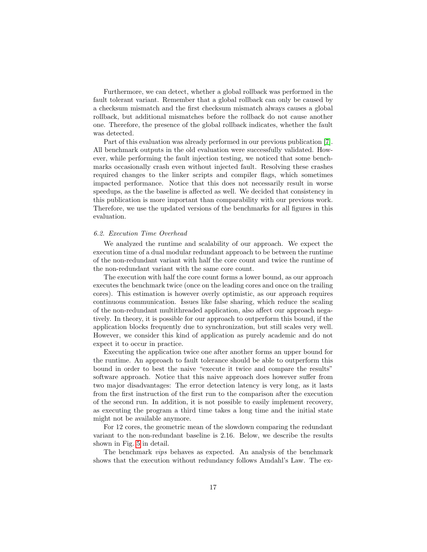Furthermore, we can detect, whether a global rollback was performed in the fault tolerant variant. Remember that a global rollback can only be caused by a checksum mismatch and the first checksum mismatch always causes a global rollback, but additional mismatches before the rollback do not cause another one. Therefore, the presence of the global rollback indicates, whether the fault was detected.

Part of this evaluation was already performed in our previous publication [\[7\]](#page-28-1). All benchmark outputs in the old evaluation were successfully validated. However, while performing the fault injection testing, we noticed that some benchmarks occasionally crash even without injected fault. Resolving these crashes required changes to the linker scripts and compiler flags, which sometimes impacted performance. Notice that this does not necessarily result in worse speedups, as the the baseline is affected as well. We decided that consistency in this publication is more important than comparability with our previous work. Therefore, we use the updated versions of the benchmarks for all figures in this evaluation.

#### <span id="page-18-0"></span>6.2. Execution Time Overhead

We analyzed the runtime and scalability of our approach. We expect the execution time of a dual modular redundant approach to be between the runtime of the non-redundant variant with half the core count and twice the runtime of the non-redundant variant with the same core count.

The execution with half the core count forms a lower bound, as our approach executes the benchmark twice (once on the leading cores and once on the trailing cores). This estimation is however overly optimistic, as our approach requires continuous communication. Issues like false sharing, which reduce the scaling of the non-redundant multithreaded application, also affect our approach negatively. In theory, it is possible for our approach to outperform this bound, if the application blocks frequently due to synchronization, but still scales very well. However, we consider this kind of application as purely academic and do not expect it to occur in practice.

Executing the application twice one after another forms an upper bound for the runtime. An approach to fault tolerance should be able to outperform this bound in order to best the naive "execute it twice and compare the results" software approach. Notice that this naive approach does however suffer from two major disadvantages: The error detection latency is very long, as it lasts from the first instruction of the first run to the comparison after the execution of the second run. In addition, it is not possible to easily implement recovery, as executing the program a third time takes a long time and the initial state might not be available anymore.

For 12 cores, the geometric mean of the slowdown comparing the redundant variant to the non-redundant baseline is 2.16. Below, we describe the results shown in Fig. [5](#page-19-0) in detail.

The benchmark vips behaves as expected. An analysis of the benchmark shows that the execution without redundancy follows Amdahl's Law. The ex-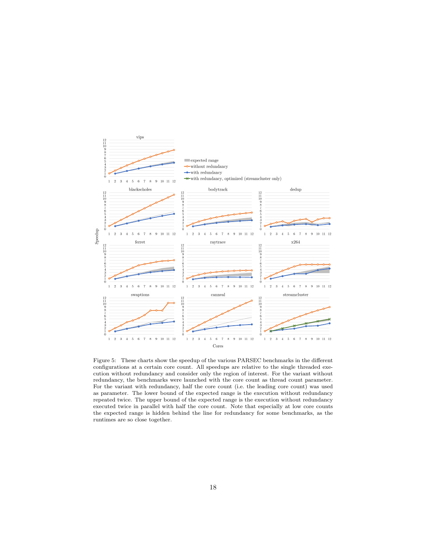

<span id="page-19-0"></span>Figure 5: These charts show the speedup of the various PARSEC benchmarks in the different configurations at a certain core count. All speedups are relative to the single threaded execution without redundancy and consider only the region of interest. For the variant without redundancy, the benchmarks were launched with the core count as thread count parameter. For the variant with redundancy, half the core count (i.e. the leading core count) was used as parameter. The lower bound of the expected range is the execution without redundancy repeated twice. The upper bound of the expected range is the execution without redundancy executed twice in parallel with half the core count. Note that especially at low core counts the expected range is hidden behind the line for redundancy for some benchmarks, as the runtimes are so close together.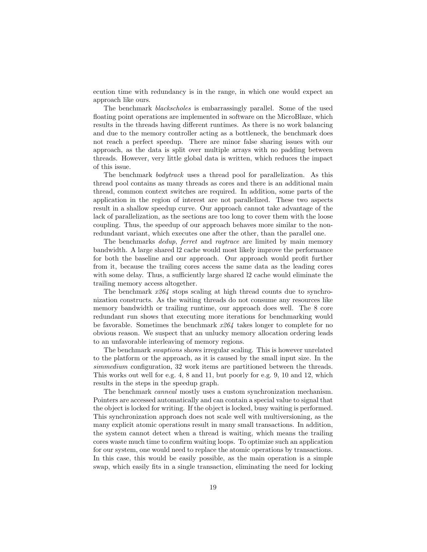ecution time with redundancy is in the range, in which one would expect an approach like ours.

The benchmark blackscholes is embarrassingly parallel. Some of the used floating point operations are implemented in software on the MicroBlaze, which results in the threads having different runtimes. As there is no work balancing and due to the memory controller acting as a bottleneck, the benchmark does not reach a perfect speedup. There are minor false sharing issues with our approach, as the data is split over multiple arrays with no padding between threads. However, very little global data is written, which reduces the impact of this issue.

The benchmark *bodytrack* uses a thread pool for parallelization. As this thread pool contains as many threads as cores and there is an additional main thread, common context switches are required. In addition, some parts of the application in the region of interest are not parallelized. These two aspects result in a shallow speedup curve. Our approach cannot take advantage of the lack of parallelization, as the sections are too long to cover them with the loose coupling. Thus, the speedup of our approach behaves more similar to the nonredundant variant, which executes one after the other, than the parallel one.

The benchmarks *dedup*, ferret and raytrace are limited by main memory bandwidth. A large shared l2 cache would most likely improve the performance for both the baseline and our approach. Our approach would profit further from it, because the trailing cores access the same data as the leading cores with some delay. Thus, a sufficiently large shared 12 cache would eliminate the trailing memory access altogether.

The benchmark  $x264$  stops scaling at high thread counts due to synchronization constructs. As the waiting threads do not consume any resources like memory bandwidth or trailing runtime, our approach does well. The 8 core redundant run shows that executing more iterations for benchmarking would be favorable. Sometimes the benchmark  $x264$  takes longer to complete for no obvious reason. We suspect that an unlucky memory allocation ordering leads to an unfavorable interleaving of memory regions.

The benchmark swaptions shows irregular scaling. This is however unrelated to the platform or the approach, as it is caused by the small input size. In the simmedium configuration, 32 work items are partitioned between the threads. This works out well for e.g. 4, 8 and 11, but poorly for e.g. 9, 10 and 12, which results in the steps in the speedup graph.

The benchmark canneal mostly uses a custom synchronization mechanism. Pointers are accessed automatically and can contain a special value to signal that the object is locked for writing. If the object is locked, busy waiting is performed. This synchronization approach does not scale well with multiversioning, as the many explicit atomic operations result in many small transactions. In addition, the system cannot detect when a thread is waiting, which means the trailing cores waste much time to confirm waiting loops. To optimize such an application for our system, one would need to replace the atomic operations by transactions. In this case, this would be easily possible, as the main operation is a simple swap, which easily fits in a single transaction, eliminating the need for locking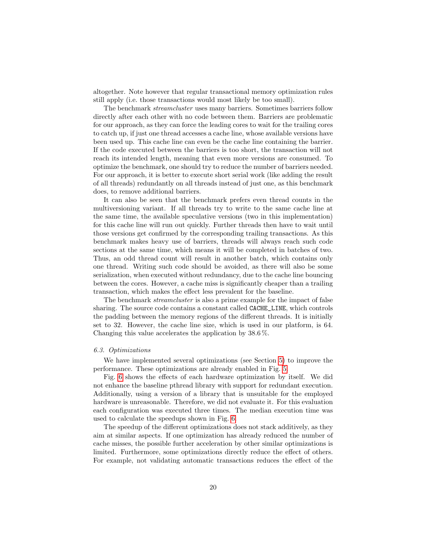altogether. Note however that regular transactional memory optimization rules still apply (i.e. those transactions would most likely be too small).

The benchmark *streamcluster* uses many barriers. Sometimes barriers follow directly after each other with no code between them. Barriers are problematic for our approach, as they can force the leading cores to wait for the trailing cores to catch up, if just one thread accesses a cache line, whose available versions have been used up. This cache line can even be the cache line containing the barrier. If the code executed between the barriers is too short, the transaction will not reach its intended length, meaning that even more versions are consumed. To optimize the benchmark, one should try to reduce the number of barriers needed. For our approach, it is better to execute short serial work (like adding the result of all threads) redundantly on all threads instead of just one, as this benchmark does, to remove additional barriers.

It can also be seen that the benchmark prefers even thread counts in the multiversioning variant. If all threads try to write to the same cache line at the same time, the available speculative versions (two in this implementation) for this cache line will run out quickly. Further threads then have to wait until those versions get confirmed by the corresponding trailing transactions. As this benchmark makes heavy use of barriers, threads will always reach such code sections at the same time, which means it will be completed in batches of two. Thus, an odd thread count will result in another batch, which contains only one thread. Writing such code should be avoided, as there will also be some serialization, when executed without redundancy, due to the cache line bouncing between the cores. However, a cache miss is significantly cheaper than a trailing transaction, which makes the effect less prevalent for the baseline.

The benchmark *streamcluster* is also a prime example for the impact of false sharing. The source code contains a constant called CACHE\_LINE, which controls the padding between the memory regions of the different threads. It is initially set to 32. However, the cache line size, which is used in our platform, is 64. Changing this value accelerates the application by 38.6 %.

# 6.3. Optimizations

We have implemented several optimizations (see Section [5\)](#page-12-0) to improve the performance. These optimizations are already enabled in Fig. [5.](#page-19-0)

Fig. [6](#page-22-0) shows the effects of each hardware optimization by itself. We did not enhance the baseline pthread library with support for redundant execution. Additionally, using a version of a library that is unsuitable for the employed hardware is unreasonable. Therefore, we did not evaluate it. For this evaluation each configuration was executed three times. The median execution time was used to calculate the speedups shown in Fig. [6.](#page-22-0)

The speedup of the different optimizations does not stack additively, as they aim at similar aspects. If one optimization has already reduced the number of cache misses, the possible further acceleration by other similar optimizations is limited. Furthermore, some optimizations directly reduce the effect of others. For example, not validating automatic transactions reduces the effect of the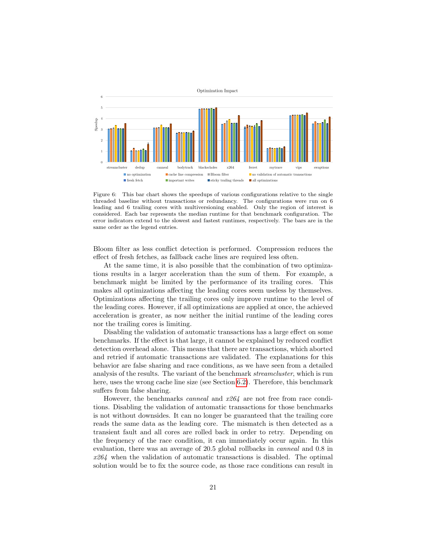

<span id="page-22-0"></span>Figure 6: This bar chart shows the speedups of various configurations relative to the single threaded baseline without transactions or redundancy. The configurations were run on 6 leading and 6 trailing cores with multiversioning enabled. Only the region of interest is considered. Each bar represents the median runtime for that benchmark configuration. The error indicators extend to the slowest and fastest runtimes, respectively. The bars are in the same order as the legend entries.

Bloom filter as less conflict detection is performed. Compression reduces the effect of fresh fetches, as fallback cache lines are required less often.

At the same time, it is also possible that the combination of two optimizations results in a larger acceleration than the sum of them. For example, a benchmark might be limited by the performance of its trailing cores. This makes all optimizations affecting the leading cores seem useless by themselves. Optimizations affecting the trailing cores only improve runtime to the level of the leading cores. However, if all optimizations are applied at once, the achieved acceleration is greater, as now neither the initial runtime of the leading cores nor the trailing cores is limiting.

Disabling the validation of automatic transactions has a large effect on some benchmarks. If the effect is that large, it cannot be explained by reduced conflict detection overhead alone. This means that there are transactions, which aborted and retried if automatic transactions are validated. The explanations for this behavior are false sharing and race conditions, as we have seen from a detailed analysis of the results. The variant of the benchmark streamcluster, which is run here, uses the wrong cache line size (see Section [6.2\)](#page-18-0). Therefore, this benchmark suffers from false sharing.

However, the benchmarks *canneal* and  $x264$  are not free from race conditions. Disabling the validation of automatic transactions for those benchmarks is not without downsides. It can no longer be guaranteed that the trailing core reads the same data as the leading core. The mismatch is then detected as a transient fault and all cores are rolled back in order to retry. Depending on the frequency of the race condition, it can immediately occur again. In this evaluation, there was an average of 20.5 global rollbacks in canneal and 0.8 in  $x264$  when the validation of automatic transactions is disabled. The optimal solution would be to fix the source code, as those race conditions can result in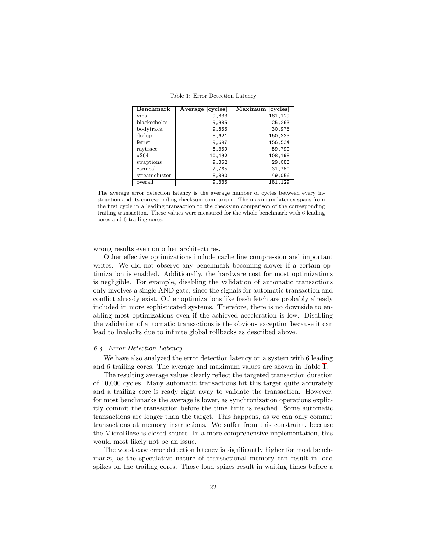| Benchmark     | Average [cycles] | Maximum [cycles] |
|---------------|------------------|------------------|
| vips          | 9,833            | 181,129          |
| blackscholes  | 9,985            | 25,263           |
| body track    | 9,855            | 30,976           |
| dedup         | 8,621            | 150,333          |
| ferret        | 9,697            | 156,534          |
| raytrace      | 8,359            | 59,790           |
| x264          | 10,492           | 108,198          |
| swaptions     | 9,852            | 29,083           |
| canneal       | 7,765            | 31,780           |
| streamcluster | 8,890            | 49,056           |
| overall       | 9,335            | 181,129          |

<span id="page-23-0"></span>Table 1: Error Detection Latency

The average error detection latency is the average number of cycles between every instruction and its corresponding checksum comparison. The maximum latency spans from the first cycle in a leading transaction to the checksum comparison of the corresponding trailing transaction. These values were measured for the whole benchmark with 6 leading cores and 6 trailing cores.

wrong results even on other architectures.

Other effective optimizations include cache line compression and important writes. We did not observe any benchmark becoming slower if a certain optimization is enabled. Additionally, the hardware cost for most optimizations is negligible. For example, disabling the validation of automatic transactions only involves a single AND gate, since the signals for automatic transaction and conflict already exist. Other optimizations like fresh fetch are probably already included in more sophisticated systems. Therefore, there is no downside to enabling most optimizations even if the achieved acceleration is low. Disabling the validation of automatic transactions is the obvious exception because it can lead to livelocks due to infinite global rollbacks as described above.

#### 6.4. Error Detection Latency

We have also analyzed the error detection latency on a system with 6 leading and 6 trailing cores. The average and maximum values are shown in Table [1.](#page-23-0)

The resulting average values clearly reflect the targeted transaction duration of 10,000 cycles. Many automatic transactions hit this target quite accurately and a trailing core is ready right away to validate the transaction. However, for most benchmarks the average is lower, as synchronization operations explicitly commit the transaction before the time limit is reached. Some automatic transactions are longer than the target. This happens, as we can only commit transactions at memory instructions. We suffer from this constraint, because the MicroBlaze is closed-source. In a more comprehensive implementation, this would most likely not be an issue.

The worst case error detection latency is significantly higher for most benchmarks, as the speculative nature of transactional memory can result in load spikes on the trailing cores. Those load spikes result in waiting times before a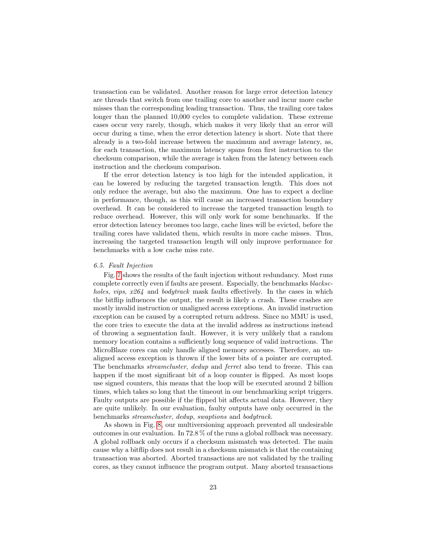transaction can be validated. Another reason for large error detection latency are threads that switch from one trailing core to another and incur more cache misses than the corresponding leading transaction. Thus, the trailing core takes longer than the planned 10,000 cycles to complete validation. These extreme cases occur very rarely, though, which makes it very likely that an error will occur during a time, when the error detection latency is short. Note that there already is a two-fold increase between the maximum and average latency, as, for each transaction, the maximum latency spans from first instruction to the checksum comparison, while the average is taken from the latency between each instruction and the checksum comparison.

If the error detection latency is too high for the intended application, it can be lowered by reducing the targeted transaction length. This does not only reduce the average, but also the maximum. One has to expect a decline in performance, though, as this will cause an increased transaction boundary overhead. It can be considered to increase the targeted transaction length to reduce overhead. However, this will only work for some benchmarks. If the error detection latency becomes too large, cache lines will be evicted, before the trailing cores have validated them, which results in more cache misses. Thus, increasing the targeted transaction length will only improve performance for benchmarks with a low cache miss rate.

#### 6.5. Fault Injection

Fig. [7](#page-25-0) shows the results of the fault injection without redundancy. Most runs complete correctly even if faults are present. Especially, the benchmarks blackscholes, vips, x264 and bodytrack mask faults effectively. In the cases in which the bitflip influences the output, the result is likely a crash. These crashes are mostly invalid instruction or unaligned access exceptions. An invalid instruction exception can be caused by a corrupted return address. Since no MMU is used, the core tries to execute the data at the invalid address as instructions instead of throwing a segmentation fault. However, it is very unlikely that a random memory location contains a sufficiently long sequence of valid instructions. The MicroBlaze cores can only handle aligned memory accesses. Therefore, an unaligned access exception is thrown if the lower bits of a pointer are corrupted. The benchmarks streamcluster, dedup and ferret also tend to freeze. This can happen if the most significant bit of a loop counter is flipped. As most loops use signed counters, this means that the loop will be executed around 2 billion times, which takes so long that the timeout in our benchmarking script triggers. Faulty outputs are possible if the flipped bit affects actual data. However, they are quite unlikely. In our evaluation, faulty outputs have only occurred in the benchmarks streamcluster, dedup, swaptions and bodytrack.

As shown in Fig. [8,](#page-25-1) our multiversioning approach prevented all undesirable outcomes in our evaluation. In 72.8 % of the runs a global rollback was necessary. A global rollback only occurs if a checksum mismatch was detected. The main cause why a bitflip does not result in a checksum mismatch is that the containing transaction was aborted. Aborted transactions are not validated by the trailing cores, as they cannot influence the program output. Many aborted transactions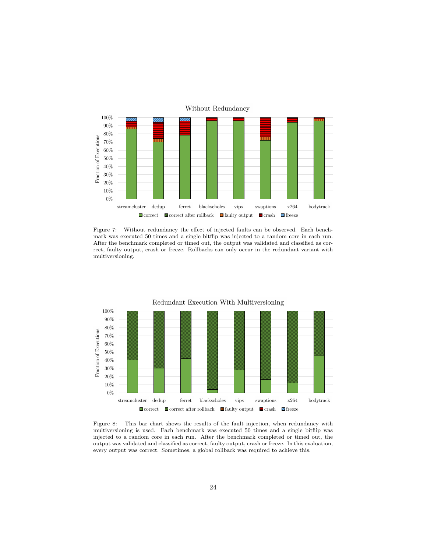

<span id="page-25-0"></span>Figure 7: Without redundancy the effect of injected faults can be observed. Each benchmark was executed 50 times and a single bitflip was injected to a random core in each run. After the benchmark completed or timed out, the output was validated and classified as correct, faulty output, crash or freeze. Rollbacks can only occur in the redundant variant with multiversioning.



<span id="page-25-1"></span>Figure 8: This bar chart shows the results of the fault injection, when redundancy with multiversioning is used. Each benchmark was executed 50 times and a single bitflip was injected to a random core in each run. After the benchmark completed or timed out, the output was validated and classified as correct, faulty output, crash or freeze. In this evaluation, every output was correct. Sometimes, a global rollback was required to achieve this.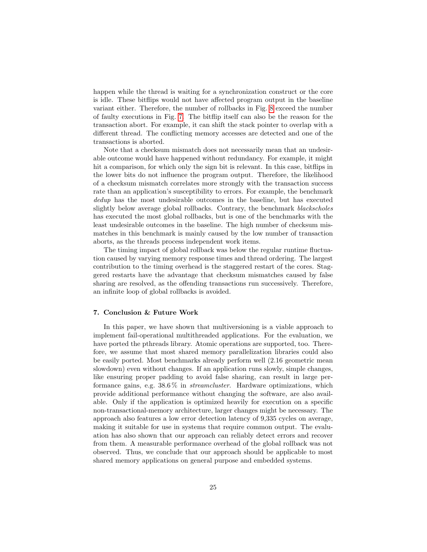happen while the thread is waiting for a synchronization construct or the core is idle. These bitflips would not have affected program output in the baseline variant either. Therefore, the number of rollbacks in Fig. [8](#page-25-1) exceed the number of faulty executions in Fig. [7.](#page-25-0) The bitflip itself can also be the reason for the transaction abort. For example, it can shift the stack pointer to overlap with a different thread. The conflicting memory accesses are detected and one of the transactions is aborted.

Note that a checksum mismatch does not necessarily mean that an undesirable outcome would have happened without redundancy. For example, it might hit a comparison, for which only the sign bit is relevant. In this case, bitflips in the lower bits do not influence the program output. Therefore, the likelihood of a checksum mismatch correlates more strongly with the transaction success rate than an application's susceptibility to errors. For example, the benchmark dedup has the most undesirable outcomes in the baseline, but has executed slightly below average global rollbacks. Contrary, the benchmark blackscholes has executed the most global rollbacks, but is one of the benchmarks with the least undesirable outcomes in the baseline. The high number of checksum mismatches in this benchmark is mainly caused by the low number of transaction aborts, as the threads process independent work items.

The timing impact of global rollback was below the regular runtime fluctuation caused by varying memory response times and thread ordering. The largest contribution to the timing overhead is the staggered restart of the cores. Staggered restarts have the advantage that checksum mismatches caused by false sharing are resolved, as the offending transactions run successively. Therefore, an infinite loop of global rollbacks is avoided.

#### 7. Conclusion & Future Work

In this paper, we have shown that multiversioning is a viable approach to implement fail-operational multithreaded applications. For the evaluation, we have ported the pthreads library. Atomic operations are supported, too. Therefore, we assume that most shared memory parallelization libraries could also be easily ported. Most benchmarks already perform well (2.16 geometric mean slowdown) even without changes. If an application runs slowly, simple changes, like ensuring proper padding to avoid false sharing, can result in large performance gains, e.g.  $38.6\%$  in *streamcluster*. Hardware optimizations, which provide additional performance without changing the software, are also available. Only if the application is optimized heavily for execution on a specific non-transactional-memory architecture, larger changes might be necessary. The approach also features a low error detection latency of 9,335 cycles on average, making it suitable for use in systems that require common output. The evaluation has also shown that our approach can reliably detect errors and recover from them. A measurable performance overhead of the global rollback was not observed. Thus, we conclude that our approach should be applicable to most shared memory applications on general purpose and embedded systems.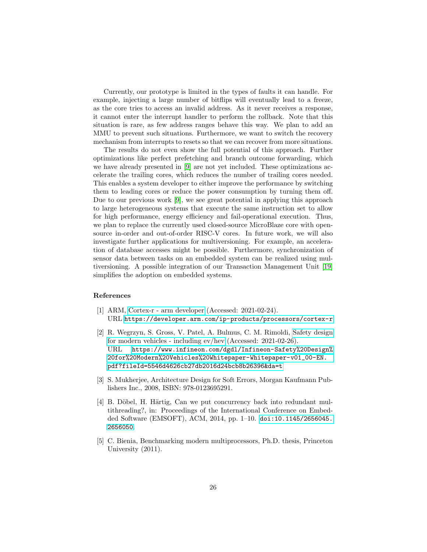Currently, our prototype is limited in the types of faults it can handle. For example, injecting a large number of bitflips will eventually lead to a freeze, as the core tries to access an invalid address. As it never receives a response, it cannot enter the interrupt handler to perform the rollback. Note that this situation is rare, as few address ranges behave this way. We plan to add an MMU to prevent such situations. Furthermore, we want to switch the recovery mechanism from interrupts to resets so that we can recover from more situations.

The results do not even show the full potential of this approach. Further optimizations like perfect prefetching and branch outcome forwarding, which we have already presented in [\[9\]](#page-28-3) are not yet included. These optimizations accelerate the trailing cores, which reduces the number of trailing cores needed. This enables a system developer to either improve the performance by switching them to leading cores or reduce the power consumption by turning them off. Due to our previous work [\[9\]](#page-28-3), we see great potential in applying this approach to large heterogeneous systems that execute the same instruction set to allow for high performance, energy efficiency and fail-operational execution. Thus, we plan to replace the currently used closed-source MicroBlaze core with opensource in-order and out-of-order RISC-V cores. In future work, we will also investigate further applications for multiversioning. For example, an acceleration of database accesses might be possible. Furthermore, synchronization of sensor data between tasks on an embedded system can be realized using multiversioning. A possible integration of our Transaction Management Unit [\[19\]](#page-29-3) simplifies the adoption on embedded systems.

#### References

- <span id="page-27-0"></span>[1] ARM, [Cortex-r - arm developer](https://developer.arm.com/ip-products/processors/cortex-r) (Accessed: 2021-02-24). URL <https://developer.arm.com/ip-products/processors/cortex-r>
- <span id="page-27-1"></span>[2] R. Wegrzyn, S. Gross, V. Patel, A. Bulmus, C. M. Rimoldi, [Safety design](https://www.infineon.com/dgdl/Infineon-Safety%20Design%20for%20Modern%20Vehicles%20Whitepaper-Whitepaper-v01_00-EN.pdf?fileId=5546d4626cb27db2016d24bcb8b26396&da=t) [for modern vehicles - including ev/hev](https://www.infineon.com/dgdl/Infineon-Safety%20Design%20for%20Modern%20Vehicles%20Whitepaper-Whitepaper-v01_00-EN.pdf?fileId=5546d4626cb27db2016d24bcb8b26396&da=t) (Accessed: 2021-02-26). URL [https://www.infineon.com/dgdl/Infineon-Safety%20Design%](https://www.infineon.com/dgdl/Infineon-Safety%20Design%20for%20Modern%20Vehicles%20Whitepaper-Whitepaper-v01_00-EN.pdf?fileId=5546d4626cb27db2016d24bcb8b26396&da=t) [20for%20Modern%20Vehicles%20Whitepaper-Whitepaper-v01\\_00-EN.](https://www.infineon.com/dgdl/Infineon-Safety%20Design%20for%20Modern%20Vehicles%20Whitepaper-Whitepaper-v01_00-EN.pdf?fileId=5546d4626cb27db2016d24bcb8b26396&da=t) [pdf?fileId=5546d4626cb27db2016d24bcb8b26396&da=t](https://www.infineon.com/dgdl/Infineon-Safety%20Design%20for%20Modern%20Vehicles%20Whitepaper-Whitepaper-v01_00-EN.pdf?fileId=5546d4626cb27db2016d24bcb8b26396&da=t)
- <span id="page-27-2"></span>[3] S. Mukherjee, Architecture Design for Soft Errors, Morgan Kaufmann Publishers Inc., 2008, ISBN: 978-0123695291.
- <span id="page-27-3"></span>[4] B. Döbel, H. Härtig, Can we put concurrency back into redundant multithreading?, in: Proceedings of the International Conference on Embedded Software (EMSOFT), ACM, 2014, pp. 1–10. [doi:10.1145/2656045.](http://dx.doi.org/10.1145/2656045.2656050) [2656050](http://dx.doi.org/10.1145/2656045.2656050).
- <span id="page-27-4"></span>[5] C. Bienia, Benchmarking modern multiprocessors, Ph.D. thesis, Princeton University (2011).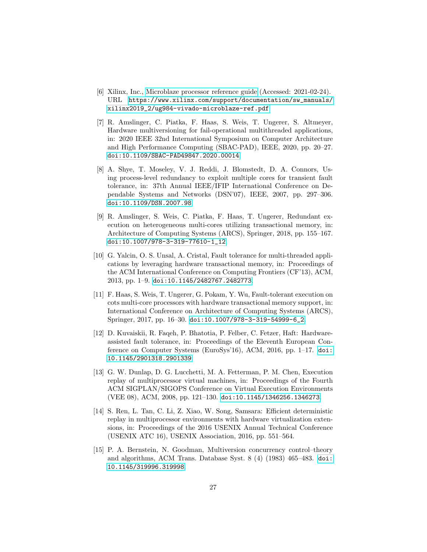- <span id="page-28-0"></span>[6] Xilinx, Inc., [Microblaze processor reference guide](https://www.xilinx.com/support/documentation/sw_manuals/xilinx2019_2/ug984-vivado-microblaze-ref.pdf) (Accessed: 2021-02-24). URL [https://www.xilinx.com/support/documentation/sw\\_manuals/](https://www.xilinx.com/support/documentation/sw_manuals/xilinx2019_2/ug984-vivado-microblaze-ref.pdf) [xilinx2019\\_2/ug984-vivado-microblaze-ref.pdf](https://www.xilinx.com/support/documentation/sw_manuals/xilinx2019_2/ug984-vivado-microblaze-ref.pdf)
- <span id="page-28-1"></span>[7] R. Amslinger, C. Piatka, F. Haas, S. Weis, T. Ungerer, S. Altmeyer, Hardware multiversioning for fail-operational multithreaded applications, in: 2020 IEEE 32nd International Symposium on Computer Architecture and High Performance Computing (SBAC-PAD), IEEE, 2020, pp. 20–27. [doi:10.1109/SBAC-PAD49847.2020.00014](http://dx.doi.org/10.1109/SBAC-PAD49847.2020.00014).
- <span id="page-28-2"></span>[8] A. Shye, T. Moseley, V. J. Reddi, J. Blomstedt, D. A. Connors, Using process-level redundancy to exploit multiple cores for transient fault tolerance, in: 37th Annual IEEE/IFIP International Conference on Dependable Systems and Networks (DSN'07), IEEE, 2007, pp. 297–306. [doi:10.1109/DSN.2007.98](http://dx.doi.org/10.1109/DSN.2007.98).
- <span id="page-28-3"></span>[9] R. Amslinger, S. Weis, C. Piatka, F. Haas, T. Ungerer, Redundant execution on heterogeneous multi-cores utilizing transactional memory, in: Architecture of Computing Systems (ARCS), Springer, 2018, pp. 155–167. [doi:10.1007/978-3-319-77610-1\\_12](http://dx.doi.org/10.1007/978-3-319-77610-1_12).
- <span id="page-28-4"></span>[10] G. Yalcin, O. S. Unsal, A. Cristal, Fault tolerance for multi-threaded applications by leveraging hardware transactional memory, in: Proceedings of the ACM International Conference on Computing Frontiers (CF'13), ACM, 2013, pp. 1–9. [doi:10.1145/2482767.2482773](http://dx.doi.org/10.1145/2482767.2482773).
- <span id="page-28-5"></span>[11] F. Haas, S. Weis, T. Ungerer, G. Pokam, Y. Wu, Fault-tolerant execution on cots multi-core processors with hardware transactional memory support, in: International Conference on Architecture of Computing Systems (ARCS), Springer, 2017, pp. 16–30. [doi:10.1007/978-3-319-54999-6\\_2](http://dx.doi.org/10.1007/978-3-319-54999-6_2).
- <span id="page-28-6"></span>[12] D. Kuvaiskii, R. Faqeh, P. Bhatotia, P. Felber, C. Fetzer, Haft: Hardwareassisted fault tolerance, in: Proceedings of the Eleventh European Conference on Computer Systems (EuroSys'16), ACM, 2016, pp. 1–17. [doi:](http://dx.doi.org/10.1145/2901318.2901339) [10.1145/2901318.2901339](http://dx.doi.org/10.1145/2901318.2901339).
- <span id="page-28-7"></span>[13] G. W. Dunlap, D. G. Lucchetti, M. A. Fetterman, P. M. Chen, Execution replay of multiprocessor virtual machines, in: Proceedings of the Fourth ACM SIGPLAN/SIGOPS Conference on Virtual Execution Environments (VEE 08), ACM, 2008, pp. 121–130. [doi:10.1145/1346256.1346273](http://dx.doi.org/10.1145/1346256.1346273).
- <span id="page-28-8"></span>[14] S. Ren, L. Tan, C. Li, Z. Xiao, W. Song, Samsara: Efficient deterministic replay in multiprocessor environments with hardware virtualization extensions, in: Proceedings of the 2016 USENIX Annual Technical Conference (USENIX ATC 16), USENIX Association, 2016, pp. 551–564.
- <span id="page-28-9"></span>[15] P. A. Bernstein, N. Goodman, Multiversion concurrency control–theory and algorithms, ACM Trans. Database Syst. 8 (4) (1983) 465–483. [doi:](http://dx.doi.org/10.1145/319996.319998) [10.1145/319996.319998](http://dx.doi.org/10.1145/319996.319998).